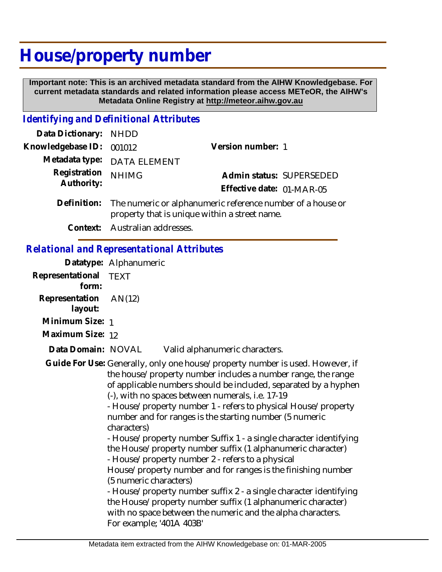# **House/property number**

 **Important note: This is an archived metadata standard from the AIHW Knowledgebase. For current metadata standards and related information please access METeOR, the AIHW's Metadata Online Registry at http://meteor.aihw.gov.au**

#### *Identifying and Definitional Attributes*

| Data Dictionary: NHDD            |                                                                        |                           |                          |
|----------------------------------|------------------------------------------------------------------------|---------------------------|--------------------------|
| Knowledgebase ID: 001012         |                                                                        | Version number: 1         |                          |
|                                  | Metadata type: DATA ELEMENT                                            |                           |                          |
| Registration NHIMG<br>Authority: |                                                                        |                           | Admin status: SUPERSEDED |
|                                  |                                                                        | Effective date: 01-MAR-05 |                          |
|                                  | Definition: The numeric or alphanumeric reference number of a house or |                           |                          |

- property that is unique within a street name.
	- **Context:** Australian addresses.

### *Relational and Representational Attributes*

|                                | Datatype: Alphanumeric                                                                                                                                                                                                                                                                                                                                                                                                                                                                                                                                                                                                                                                                                                                                                                                                                                                                                                           |  |
|--------------------------------|----------------------------------------------------------------------------------------------------------------------------------------------------------------------------------------------------------------------------------------------------------------------------------------------------------------------------------------------------------------------------------------------------------------------------------------------------------------------------------------------------------------------------------------------------------------------------------------------------------------------------------------------------------------------------------------------------------------------------------------------------------------------------------------------------------------------------------------------------------------------------------------------------------------------------------|--|
| Representational TEXT<br>form: |                                                                                                                                                                                                                                                                                                                                                                                                                                                                                                                                                                                                                                                                                                                                                                                                                                                                                                                                  |  |
| Representation<br>layout:      | AN(12)                                                                                                                                                                                                                                                                                                                                                                                                                                                                                                                                                                                                                                                                                                                                                                                                                                                                                                                           |  |
| Minimum Size: 1                |                                                                                                                                                                                                                                                                                                                                                                                                                                                                                                                                                                                                                                                                                                                                                                                                                                                                                                                                  |  |
| Maximum Size: 12               |                                                                                                                                                                                                                                                                                                                                                                                                                                                                                                                                                                                                                                                                                                                                                                                                                                                                                                                                  |  |
| Data Domain: NOVAL             | Valid alphanumeric characters.                                                                                                                                                                                                                                                                                                                                                                                                                                                                                                                                                                                                                                                                                                                                                                                                                                                                                                   |  |
|                                | Guide For Use: Generally, only one house/property number is used. However, if<br>the house/property number includes a number range, the range<br>of applicable numbers should be included, separated by a hyphen<br>(-), with no spaces between numerals, i.e. 17-19<br>- House/property number 1 - refers to physical House/property<br>number and for ranges is the starting number (5 numeric<br>characters)<br>- House/property number Suffix 1 - a single character identifying<br>the House/property number suffix (1 alphanumeric character)<br>- House/property number 2 - refers to a physical<br>House/property number and for ranges is the finishing number<br>(5 numeric characters)<br>- House/property number suffix 2 - a single character identifying<br>the House/property number suffix (1 alphanumeric character)<br>with no space between the numeric and the alpha characters.<br>For example; '401A 403B' |  |